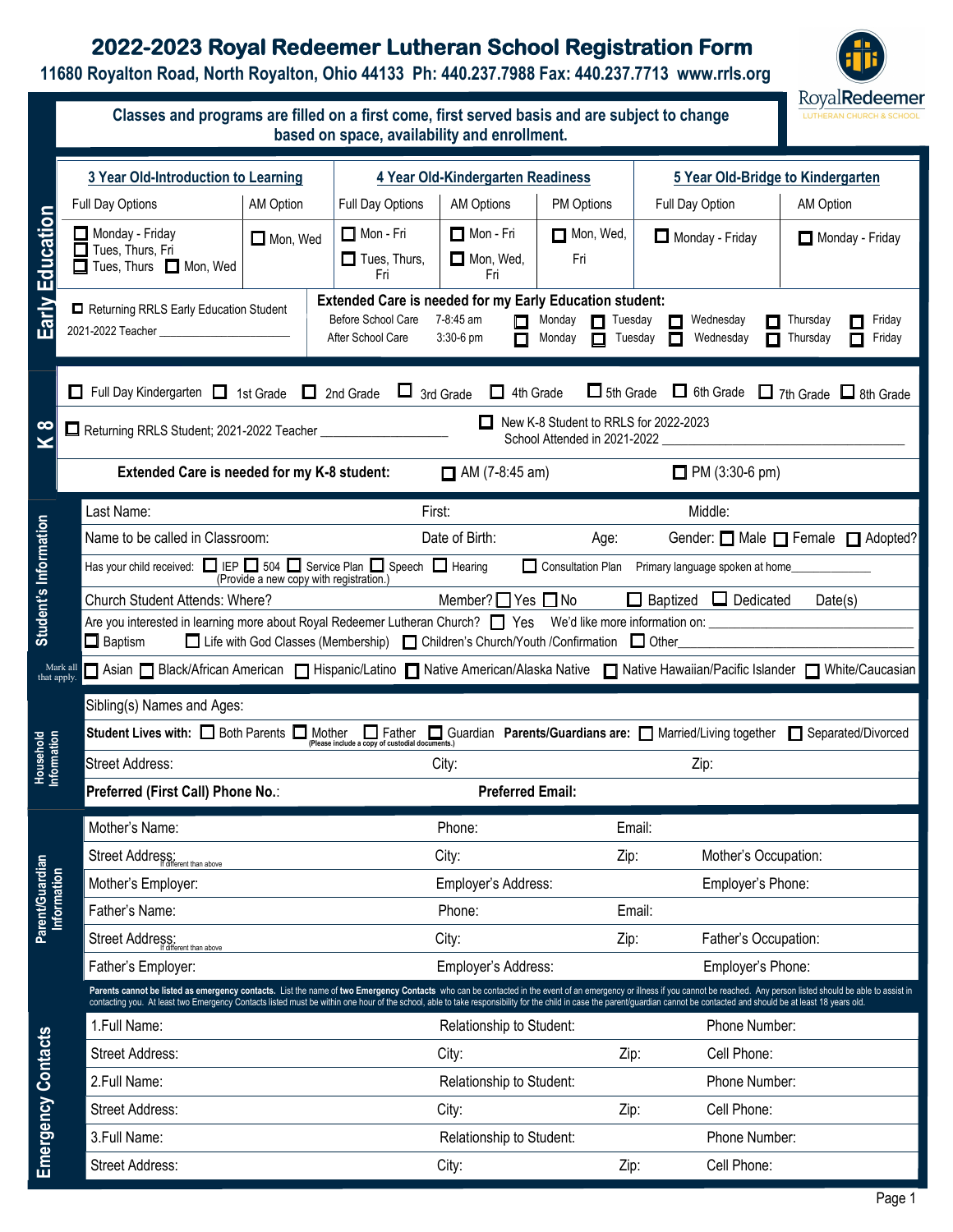## **2022-2023 Royal Redeemer Lutheran School Registration Form**

**11680 Royalton Road, North Royalton, Ohio 44133 Ph: 440.237.7988 Fax: 440.237.7713 www.rrls.org** 



|                                |                                                                                                                                                                                                                                                                                             | Classes and programs are filled on a first come, first served basis and are subject to change<br>based on space, availability and enrollment.                                                                                                                                                                                                                                                                                                                |                                                                                                                                                                                                              |                            |                                   |                       |                                          |                                           |  |  |
|--------------------------------|---------------------------------------------------------------------------------------------------------------------------------------------------------------------------------------------------------------------------------------------------------------------------------------------|--------------------------------------------------------------------------------------------------------------------------------------------------------------------------------------------------------------------------------------------------------------------------------------------------------------------------------------------------------------------------------------------------------------------------------------------------------------|--------------------------------------------------------------------------------------------------------------------------------------------------------------------------------------------------------------|----------------------------|-----------------------------------|-----------------------|------------------------------------------|-------------------------------------------|--|--|
|                                |                                                                                                                                                                                                                                                                                             | 3 Year Old-Introduction to Learning                                                                                                                                                                                                                                                                                                                                                                                                                          |                                                                                                                                                                                                              |                            | 4 Year Old-Kindergarten Readiness |                       |                                          | 5 Year Old-Bridge to Kindergarten         |  |  |
|                                |                                                                                                                                                                                                                                                                                             | Full Day Options                                                                                                                                                                                                                                                                                                                                                                                                                                             | <b>AM Option</b>                                                                                                                                                                                             | Full Day Options           | AM Options                        | PM Options            | Full Day Option                          | AM Option                                 |  |  |
|                                |                                                                                                                                                                                                                                                                                             | $\Box$ Monday - Friday                                                                                                                                                                                                                                                                                                                                                                                                                                       |                                                                                                                                                                                                              | $\Box$ Mon - Fri           | $\Box$ Mon - Fri                  | Mon, Wed,             | $\Box$ Monday - Friday                   | Monday - Friday                           |  |  |
|                                |                                                                                                                                                                                                                                                                                             | Tues, Thurs, Fri<br>Tues, Thurs Mon, Wed                                                                                                                                                                                                                                                                                                                                                                                                                     | $\Box$ Mon, Wed                                                                                                                                                                                              | $\Box$ Tues, Thurs,<br>Fri | $\Box$ Mon, Wed,<br>Fri           | Fri                   |                                          |                                           |  |  |
| Early Education                |                                                                                                                                                                                                                                                                                             | Returning RRLS Early Education Student                                                                                                                                                                                                                                                                                                                                                                                                                       | <b>Extended Care is needed for my Early Education student:</b><br>Before School Care<br>7-8:45 am<br>Monday<br>Tuesday<br>Wednesday<br>П<br>After School Care<br>3:30-6 pm<br>Monday<br>Tuesday<br>Wednesday |                            |                                   |                       | Friday<br>Thursday<br>Thursday<br>Friday |                                           |  |  |
|                                |                                                                                                                                                                                                                                                                                             | $\Box$ 5th Grade<br>$\Box$ Full Day Kindergarten $\Box$ 1st Grade $\Box$ 2nd Grade $\Box$ 3rd Grade<br>$\Box$ 4th Grade<br>□ 6th Grade □ 7th Grade □ 8th Grade<br>New K-8 Student to RRLS for 2022-2023                                                                                                                                                                                                                                                      |                                                                                                                                                                                                              |                            |                                   |                       |                                          |                                           |  |  |
| 8<br>×                         |                                                                                                                                                                                                                                                                                             | Returning RRLS Student; 2021-2022 Teacher <b>Constitution</b>                                                                                                                                                                                                                                                                                                                                                                                                |                                                                                                                                                                                                              |                            |                                   |                       | School Attended in 2021-2022             |                                           |  |  |
|                                |                                                                                                                                                                                                                                                                                             | Extended Care is needed for my K-8 student:                                                                                                                                                                                                                                                                                                                                                                                                                  |                                                                                                                                                                                                              | $\Box$ AM (7-8:45 am)      |                                   | $\Box$ PM (3:30-6 pm) |                                          |                                           |  |  |
|                                | Last Name:                                                                                                                                                                                                                                                                                  |                                                                                                                                                                                                                                                                                                                                                                                                                                                              |                                                                                                                                                                                                              |                            | First:                            |                       | Middle:                                  |                                           |  |  |
|                                |                                                                                                                                                                                                                                                                                             | Name to be called in Classroom:                                                                                                                                                                                                                                                                                                                                                                                                                              |                                                                                                                                                                                                              |                            | Date of Birth:                    | Age:                  |                                          | Gender: <b>□</b> Male □ Female □ Adopted? |  |  |
|                                |                                                                                                                                                                                                                                                                                             | Has your child received: $\Box$ IEP $\Box$ 504 $\Box$ Service Plan $\Box$ Speech $\Box$ Hearing<br>Consultation Plan Primary language spoken at home                                                                                                                                                                                                                                                                                                         |                                                                                                                                                                                                              |                            |                                   |                       |                                          |                                           |  |  |
|                                | Student's Information<br>(Provide a new copy with registration.)<br>$\Box$ Baptized $\Box$ Dedicated<br>Church Student Attends: Where?<br>Member? $\Box$ Yes $\Box$ No<br>Date(s)<br>□ Life with God Classes (Membership) □ Children's Church/Youth /Confirmation □ Other<br>$\Box$ Baptism |                                                                                                                                                                                                                                                                                                                                                                                                                                                              |                                                                                                                                                                                                              |                            |                                   |                       |                                          |                                           |  |  |
|                                |                                                                                                                                                                                                                                                                                             |                                                                                                                                                                                                                                                                                                                                                                                                                                                              |                                                                                                                                                                                                              |                            |                                   |                       |                                          |                                           |  |  |
|                                | Mark all                                                                                                                                                                                                                                                                                    | □ Asian □ Black/African American □ Hispanic/Latino □ Native American/Alaska Native □ Native Hawaiian/Pacific Islander □ White/Caucasian                                                                                                                                                                                                                                                                                                                      |                                                                                                                                                                                                              |                            |                                   |                       |                                          |                                           |  |  |
| that apply.                    |                                                                                                                                                                                                                                                                                             |                                                                                                                                                                                                                                                                                                                                                                                                                                                              |                                                                                                                                                                                                              |                            |                                   |                       |                                          |                                           |  |  |
|                                |                                                                                                                                                                                                                                                                                             | Sibling(s) Names and Ages:                                                                                                                                                                                                                                                                                                                                                                                                                                   |                                                                                                                                                                                                              |                            |                                   |                       |                                          |                                           |  |  |
| Household<br>Information       |                                                                                                                                                                                                                                                                                             | Student Lives with: <b>D</b> Both Parents <b>D</b> Mother <b>D</b> Father Guardian Parents/Guardians are: Married/Living together Separated/Divorced                                                                                                                                                                                                                                                                                                         |                                                                                                                                                                                                              |                            |                                   |                       |                                          |                                           |  |  |
|                                |                                                                                                                                                                                                                                                                                             | Street Address:                                                                                                                                                                                                                                                                                                                                                                                                                                              |                                                                                                                                                                                                              | City:                      |                                   | Zip:                  |                                          |                                           |  |  |
|                                |                                                                                                                                                                                                                                                                                             | Preferred (First Call) Phone No.:                                                                                                                                                                                                                                                                                                                                                                                                                            |                                                                                                                                                                                                              |                            | <b>Preferred Email:</b>           |                       |                                          |                                           |  |  |
|                                |                                                                                                                                                                                                                                                                                             | Mother's Name:                                                                                                                                                                                                                                                                                                                                                                                                                                               |                                                                                                                                                                                                              |                            | Phone:                            |                       | Email:                                   |                                           |  |  |
|                                |                                                                                                                                                                                                                                                                                             | Street Address:<br>If different than above                                                                                                                                                                                                                                                                                                                                                                                                                   |                                                                                                                                                                                                              | City:<br>Zip:              |                                   | Mother's Occupation:  |                                          |                                           |  |  |
| Parent/Guardian<br>Information |                                                                                                                                                                                                                                                                                             | Mother's Employer:                                                                                                                                                                                                                                                                                                                                                                                                                                           |                                                                                                                                                                                                              |                            | Employer's Address:               |                       | Employer's Phone:                        |                                           |  |  |
|                                |                                                                                                                                                                                                                                                                                             | Father's Name:                                                                                                                                                                                                                                                                                                                                                                                                                                               |                                                                                                                                                                                                              |                            | Phone:                            |                       | Email:                                   |                                           |  |  |
|                                |                                                                                                                                                                                                                                                                                             | Street Address:<br>If different than above                                                                                                                                                                                                                                                                                                                                                                                                                   |                                                                                                                                                                                                              | City:<br>Zip:              |                                   | Father's Occupation:  |                                          |                                           |  |  |
|                                |                                                                                                                                                                                                                                                                                             | Father's Employer:                                                                                                                                                                                                                                                                                                                                                                                                                                           |                                                                                                                                                                                                              |                            | Employer's Address:               |                       | Employer's Phone:                        |                                           |  |  |
|                                |                                                                                                                                                                                                                                                                                             | Parents cannot be listed as emergency contacts. List the name of two Emergency Contacts who can be contacted in the event of an emergency or illness if you cannot be reached. Any person listed should be able to assist in<br>contacting you. At least two Emergency Contacts listed must be within one hour of the school, able to take responsibility for the child in case the parent/guardian cannot be contacted and should be at least 18 years old. |                                                                                                                                                                                                              |                            |                                   |                       |                                          |                                           |  |  |
|                                |                                                                                                                                                                                                                                                                                             | 1.Full Name:                                                                                                                                                                                                                                                                                                                                                                                                                                                 |                                                                                                                                                                                                              | Relationship to Student:   |                                   |                       | Phone Number:                            |                                           |  |  |
|                                |                                                                                                                                                                                                                                                                                             | Street Address:                                                                                                                                                                                                                                                                                                                                                                                                                                              |                                                                                                                                                                                                              | City:                      |                                   | Zip:                  | Cell Phone:                              |                                           |  |  |
| <b>Emergency Contacts</b>      |                                                                                                                                                                                                                                                                                             | 2.Full Name:                                                                                                                                                                                                                                                                                                                                                                                                                                                 |                                                                                                                                                                                                              |                            | Relationship to Student:          |                       | Phone Number:                            |                                           |  |  |
|                                |                                                                                                                                                                                                                                                                                             | <b>Street Address:</b>                                                                                                                                                                                                                                                                                                                                                                                                                                       |                                                                                                                                                                                                              |                            | City:                             | Zip:                  | Cell Phone:                              |                                           |  |  |
|                                |                                                                                                                                                                                                                                                                                             | 3.Full Name:                                                                                                                                                                                                                                                                                                                                                                                                                                                 |                                                                                                                                                                                                              |                            | Relationship to Student:          |                       | Phone Number:                            |                                           |  |  |
|                                |                                                                                                                                                                                                                                                                                             | Street Address:                                                                                                                                                                                                                                                                                                                                                                                                                                              |                                                                                                                                                                                                              |                            | City:                             | Zip:                  | Cell Phone:                              |                                           |  |  |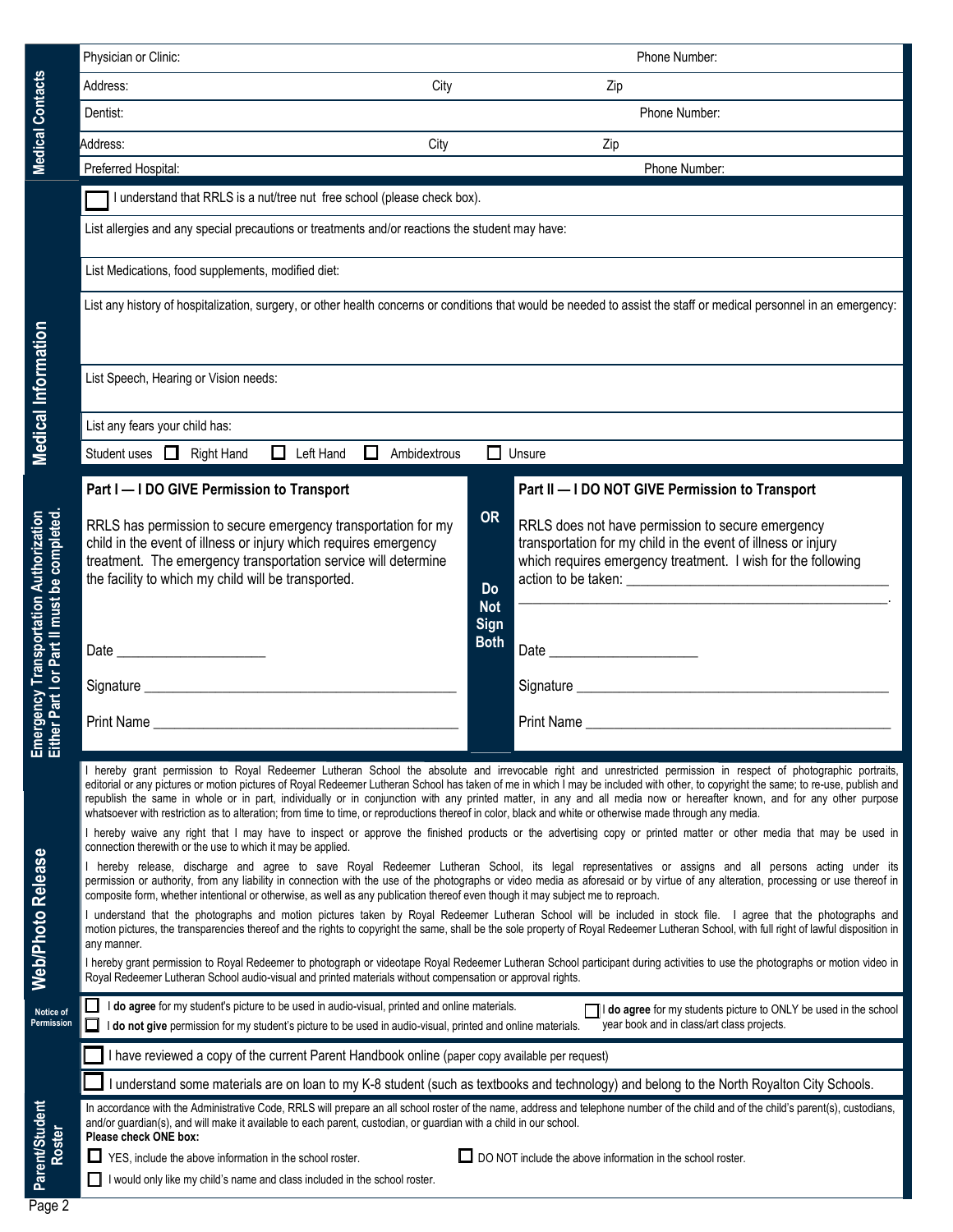|                                                                                     | Physician or Clinic:                                                                                                                                                                                                                                                                                                                                                                                                                                                                                                                                                                                                                                                                          |                                                                                                                                                                     | Phone Number:                                                                                                                                                                      |  |  |  |  |  |
|-------------------------------------------------------------------------------------|-----------------------------------------------------------------------------------------------------------------------------------------------------------------------------------------------------------------------------------------------------------------------------------------------------------------------------------------------------------------------------------------------------------------------------------------------------------------------------------------------------------------------------------------------------------------------------------------------------------------------------------------------------------------------------------------------|---------------------------------------------------------------------------------------------------------------------------------------------------------------------|------------------------------------------------------------------------------------------------------------------------------------------------------------------------------------|--|--|--|--|--|
|                                                                                     | City<br>Address:                                                                                                                                                                                                                                                                                                                                                                                                                                                                                                                                                                                                                                                                              |                                                                                                                                                                     | Zip                                                                                                                                                                                |  |  |  |  |  |
| <b>Medical Contacts</b>                                                             | Dentist:                                                                                                                                                                                                                                                                                                                                                                                                                                                                                                                                                                                                                                                                                      |                                                                                                                                                                     | Phone Number:                                                                                                                                                                      |  |  |  |  |  |
|                                                                                     | City<br>Address:<br><u> 1980 - Jan Barbara de Carlos de Carlos de Carlos de Carlos de Carlos de Carlos de Carlos de Carlos de Carlos </u>                                                                                                                                                                                                                                                                                                                                                                                                                                                                                                                                                     |                                                                                                                                                                     | Zip                                                                                                                                                                                |  |  |  |  |  |
|                                                                                     | Preferred Hospital:                                                                                                                                                                                                                                                                                                                                                                                                                                                                                                                                                                                                                                                                           |                                                                                                                                                                     | Phone Number:                                                                                                                                                                      |  |  |  |  |  |
|                                                                                     | I understand that RRLS is a nut/tree nut free school (please check box).                                                                                                                                                                                                                                                                                                                                                                                                                                                                                                                                                                                                                      |                                                                                                                                                                     |                                                                                                                                                                                    |  |  |  |  |  |
|                                                                                     | List allergies and any special precautions or treatments and/or reactions the student may have:                                                                                                                                                                                                                                                                                                                                                                                                                                                                                                                                                                                               |                                                                                                                                                                     |                                                                                                                                                                                    |  |  |  |  |  |
|                                                                                     | List Medications, food supplements, modified diet:                                                                                                                                                                                                                                                                                                                                                                                                                                                                                                                                                                                                                                            |                                                                                                                                                                     |                                                                                                                                                                                    |  |  |  |  |  |
|                                                                                     |                                                                                                                                                                                                                                                                                                                                                                                                                                                                                                                                                                                                                                                                                               | List any history of hospitalization, surgery, or other health concerns or conditions that would be needed to assist the staff or medical personnel in an emergency: |                                                                                                                                                                                    |  |  |  |  |  |
| <b>Medical Information</b>                                                          | List Speech, Hearing or Vision needs:                                                                                                                                                                                                                                                                                                                                                                                                                                                                                                                                                                                                                                                         |                                                                                                                                                                     |                                                                                                                                                                                    |  |  |  |  |  |
|                                                                                     | List any fears your child has:                                                                                                                                                                                                                                                                                                                                                                                                                                                                                                                                                                                                                                                                |                                                                                                                                                                     |                                                                                                                                                                                    |  |  |  |  |  |
|                                                                                     | $\Box$ Left Hand $\Box$<br>Student uses <b>I</b> Right Hand<br>Ambidextrous                                                                                                                                                                                                                                                                                                                                                                                                                                                                                                                                                                                                                   | $\Box$ Unsure                                                                                                                                                       |                                                                                                                                                                                    |  |  |  |  |  |
|                                                                                     | Part I - I DO GIVE Permission to Transport                                                                                                                                                                                                                                                                                                                                                                                                                                                                                                                                                                                                                                                    |                                                                                                                                                                     | Part II - I DO NOT GIVE Permission to Transport                                                                                                                                    |  |  |  |  |  |
| Part I or Part II must be completed.<br><b>Brgency Transportation Authorization</b> | RRLS has permission to secure emergency transportation for my<br>child in the event of illness or injury which requires emergency<br>treatment. The emergency transportation service will determine<br>the facility to which my child will be transported.                                                                                                                                                                                                                                                                                                                                                                                                                                    | <b>OR</b><br><b>Do</b><br><b>Not</b><br>Sign                                                                                                                        | RRLS does not have permission to secure emergency<br>transportation for my child in the event of illness or injury<br>which requires emergency treatment. I wish for the following |  |  |  |  |  |
|                                                                                     |                                                                                                                                                                                                                                                                                                                                                                                                                                                                                                                                                                                                                                                                                               | <b>Both</b>                                                                                                                                                         |                                                                                                                                                                                    |  |  |  |  |  |
|                                                                                     |                                                                                                                                                                                                                                                                                                                                                                                                                                                                                                                                                                                                                                                                                               |                                                                                                                                                                     |                                                                                                                                                                                    |  |  |  |  |  |
| ិច<br>열일                                                                            |                                                                                                                                                                                                                                                                                                                                                                                                                                                                                                                                                                                                                                                                                               |                                                                                                                                                                     | Print Name                                                                                                                                                                         |  |  |  |  |  |
|                                                                                     | I hereby grant permission to Royal Redeemer Lutheran School the absolute and irrevocable right and unrestricted permission in respect of photographic portraits,<br>editorial or any pictures or motion pictures of Royal Redeemer Lutheran School has taken of me in which I may be included with other, to copyright the same; to re-use, publish and<br>republish the same in whole or in part, individually or in conjunction with any printed matter, in any and all media now or hereafter known, and for any other purpose<br>whatsoever with restriction as to alteration; from time to time, or reproductions thereof in color, black and white or otherwise made through any media. |                                                                                                                                                                     |                                                                                                                                                                                    |  |  |  |  |  |
|                                                                                     | I hereby waive any right that I may have to inspect or approve the finished products or the advertising copy or printed matter or other media that may be used in<br>connection therewith or the use to which it may be applied.                                                                                                                                                                                                                                                                                                                                                                                                                                                              |                                                                                                                                                                     |                                                                                                                                                                                    |  |  |  |  |  |
| <b>Web/Photo Release</b>                                                            | I hereby release, discharge and agree to save Royal Redeemer Lutheran School, its legal representatives or assigns and all persons acting under its<br>permission or authority, from any liability in connection with the use of the photographs or video media as aforesaid or by virtue of any alteration, processing or use thereof in<br>composite form, whether intentional or otherwise, as well as any publication thereof even though it may subject me to reproach.<br>I understand that the photographs and motion pictures taken by Royal Redeemer Lutheran School will be included in stock file. I agree that the photographs and                                                |                                                                                                                                                                     |                                                                                                                                                                                    |  |  |  |  |  |
|                                                                                     | motion pictures, the transparencies thereof and the rights to copyright the same, shall be the sole property of Royal Redeemer Lutheran School, with full right of lawful disposition in<br>any manner.<br>I hereby grant permission to Royal Redeemer to photograph or videotape Royal Redeemer Lutheran School participant during activities to use the photographs or motion video in<br>Royal Redeemer Lutheran School audio-visual and printed materials without compensation or approval rights.                                                                                                                                                                                        |                                                                                                                                                                     |                                                                                                                                                                                    |  |  |  |  |  |
| Notice of<br>Permission                                                             | I do agree for my student's picture to be used in audio-visual, printed and online materials.<br>I do agree for my students picture to ONLY be used in the school<br>year book and in class/art class projects.<br>$\Box$<br>I do not give permission for my student's picture to be used in audio-visual, printed and online materials.                                                                                                                                                                                                                                                                                                                                                      |                                                                                                                                                                     |                                                                                                                                                                                    |  |  |  |  |  |
|                                                                                     | have reviewed a copy of the current Parent Handbook online (paper copy available per request)                                                                                                                                                                                                                                                                                                                                                                                                                                                                                                                                                                                                 |                                                                                                                                                                     |                                                                                                                                                                                    |  |  |  |  |  |
|                                                                                     | I understand some materials are on loan to my K-8 student (such as textbooks and technology) and belong to the North Royalton City Schools.                                                                                                                                                                                                                                                                                                                                                                                                                                                                                                                                                   |                                                                                                                                                                     |                                                                                                                                                                                    |  |  |  |  |  |
| Parent/Student<br>Roster                                                            | In accordance with the Administrative Code, RRLS will prepare an all school roster of the name, address and telephone number of the child and of the child's parent(s), custodians,<br>and/or guardian(s), and will make it available to each parent, custodian, or guardian with a child in our school.<br>Please check ONE box:                                                                                                                                                                                                                                                                                                                                                             |                                                                                                                                                                     |                                                                                                                                                                                    |  |  |  |  |  |
|                                                                                     | $\Box$ DO NOT include the above information in the school roster.<br>ப<br>YES, include the above information in the school roster.<br>I would only like my child's name and class included in the school roster.                                                                                                                                                                                                                                                                                                                                                                                                                                                                              |                                                                                                                                                                     |                                                                                                                                                                                    |  |  |  |  |  |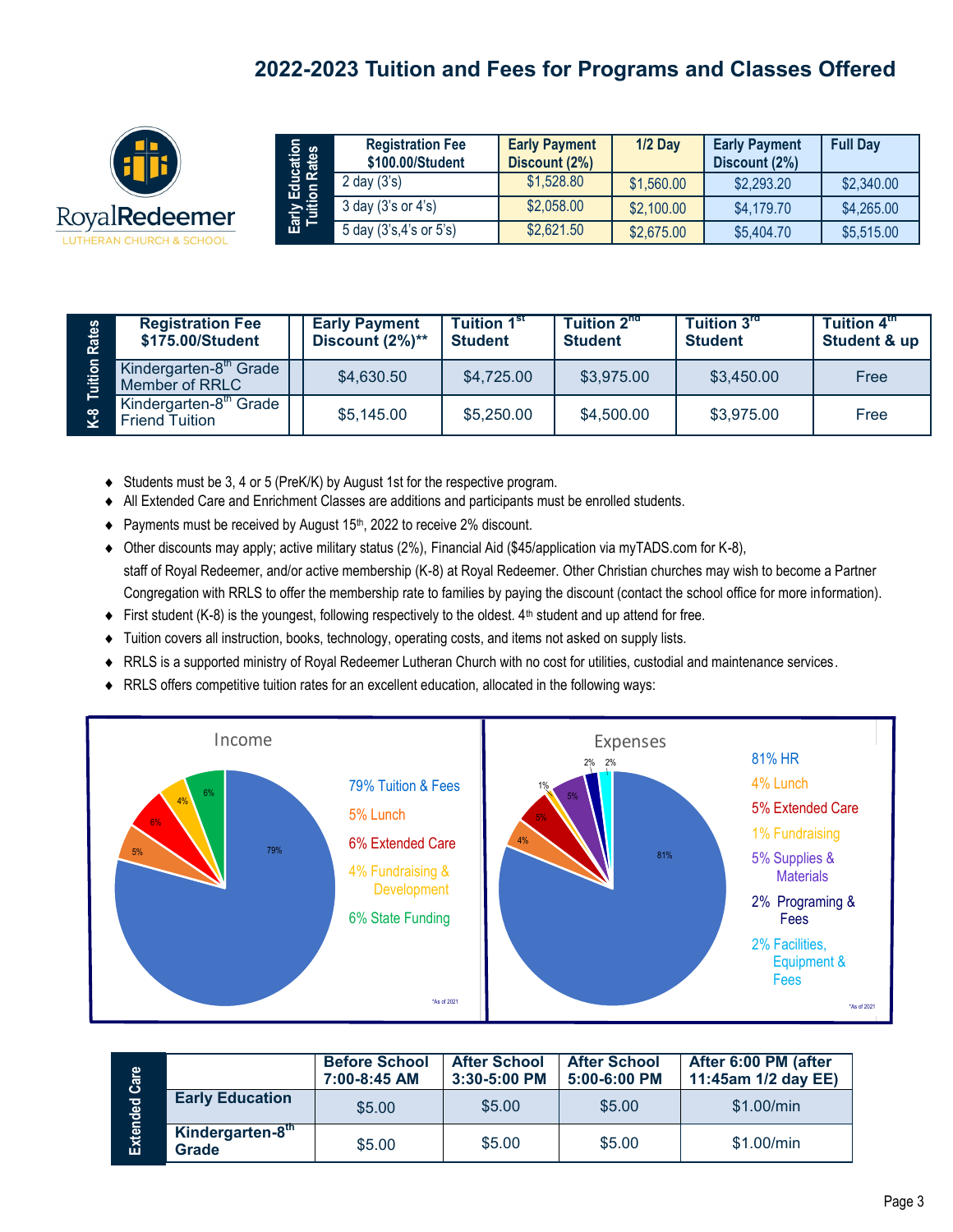## **2022-2023 Tuition and Fees for Programs and Classes Offered**



| ucation<br>Rates     | <b>Registration Fee</b><br>\$100.00/Student | <b>Early Payment</b><br>Discount (2%) | $1/2$ Day  | <b>Early Payment</b><br>Discount (2%) | <b>Full Day</b> |
|----------------------|---------------------------------------------|---------------------------------------|------------|---------------------------------------|-----------------|
|                      | $2$ day $(3's)$                             | \$1,528.80                            | \$1,560.00 | \$2,293.20                            | \$2,340.00      |
| Early Edu<br>Tuition | $3$ day $(3's$ or $4's$ )                   | \$2,058.00                            | \$2,100.00 | \$4,179.70                            | \$4,265.00      |
|                      | 5 day (3's,4's or 5's)                      | \$2,621.50                            | \$2,675.00 | \$5,404.70                            | \$5,515.00      |

| Rates<br>uition<br>$\mathbf{C}^{\mathbf{S}}$ | <b>Registration Fee</b><br>\$175.00/Student                 | <b>Early Payment</b><br>Discount (2%)** | <b>Tuition 1st</b><br><b>Student</b> | <b>Tuition 2nd</b><br><b>Student</b> | Tuition 3rd<br><b>Student</b> | Tuition 4 <sup>th</sup><br><b>Student &amp; up</b> |
|----------------------------------------------|-------------------------------------------------------------|-----------------------------------------|--------------------------------------|--------------------------------------|-------------------------------|----------------------------------------------------|
|                                              | Kindergarten-8 <sup>th</sup> Grade<br>Member of RRLC        | \$4,630.50                              | \$4,725.00                           | \$3,975.00                           | \$3,450.00                    | Free                                               |
|                                              | Kindergarten-8 <sup>th</sup> Grade<br><b>Friend Tuition</b> | \$5,145.00                              | \$5,250.00                           | \$4,500.00                           | \$3,975.00                    | Free                                               |

Students must be 3, 4 or 5 (PreK/K) by August 1st for the respective program.

- All Extended Care and Enrichment Classes are additions and participants must be enrolled students.
- $\blacklozenge$  Payments must be received by August 15<sup>th</sup>, 2022 to receive 2% discount.
- Other discounts may apply; active military status (2%), Financial Aid (\$45/application via myTADS.com for K-8), staff of Royal Redeemer, and/or active membership (K-8) at Royal Redeemer. Other Christian churches may wish to become a Partner Congregation with RRLS to offer the membership rate to families by paying the discount (contact the school office for more information).
- First student (K-8) is the youngest, following respectively to the oldest. 4th student and up attend for free.
- Tuition covers all instruction, books, technology, operating costs, and items not asked on supply lists.
- RRLS is a supported ministry of Royal Redeemer Lutheran Church with no cost for utilities, custodial and maintenance services.
- RRLS offers competitive tuition rates for an excellent education, allocated in the following ways:



| Care     |                           | <b>Before School</b><br>7:00-8:45 AM | <b>After School</b><br>3:30-5:00 PM | <b>After School</b><br>$5:00 - 6:00$ PM | After 6:00 PM (after<br>11:45am 1/2 day EE) |
|----------|---------------------------|--------------------------------------|-------------------------------------|-----------------------------------------|---------------------------------------------|
|          | <b>Early Education</b>    | \$5.00                               | \$5.00                              | \$5.00                                  | \$1.00/min                                  |
| Extended | Kindergarten-8th<br>Grade | \$5.00                               | \$5.00                              | \$5.00                                  | \$1.00/min                                  |